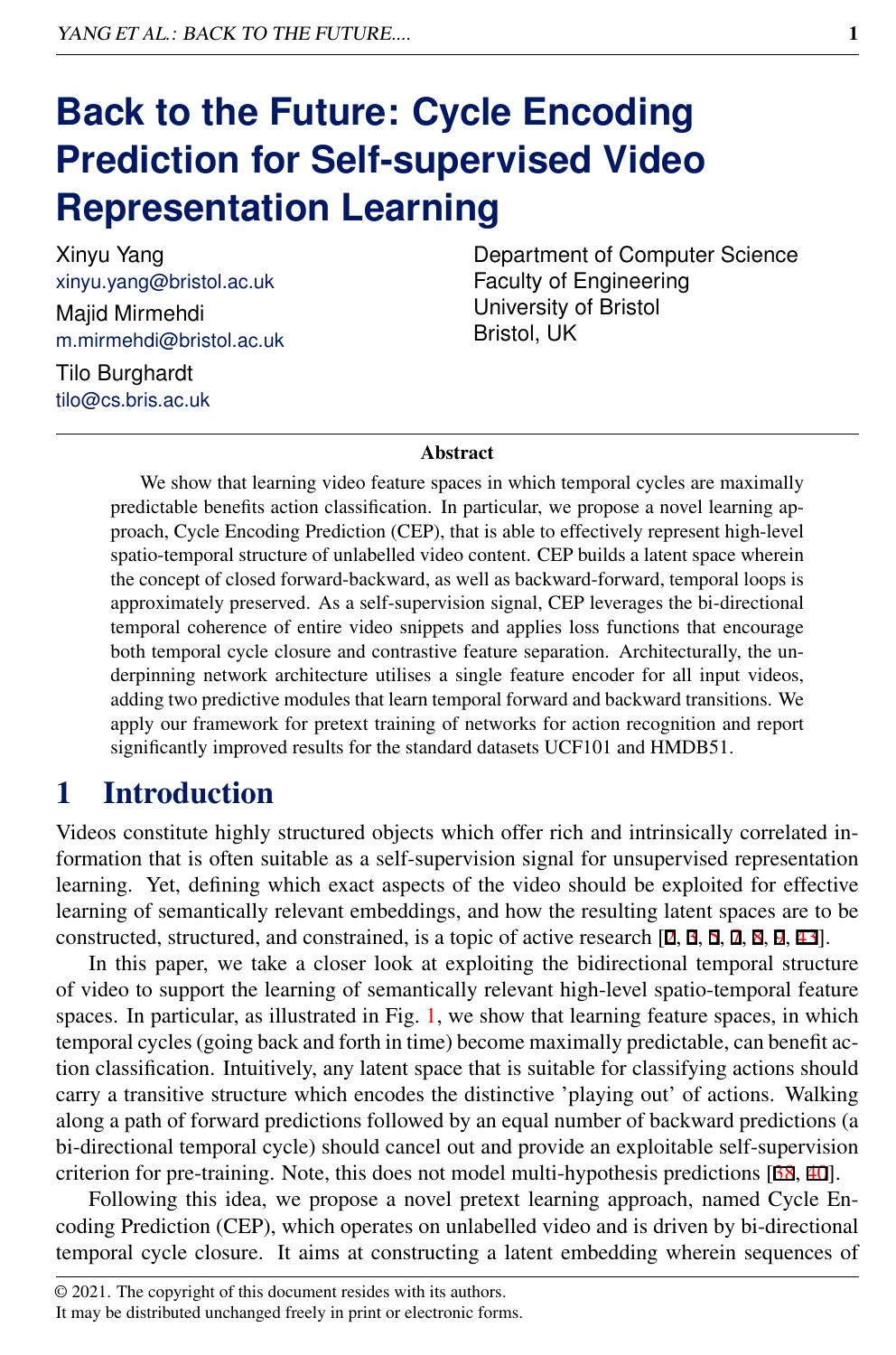# **Back to the Future: Cycle Encoding Prediction for Self-supervised Video Representation Learning**

Xinyu Yang xinyu.yang@bristol.ac.uk Majid Mirmehdi m.mirmehdi@bristol.ac.uk

Department of Computer Science Faculty of Engineering University of Bristol Bristol, UK

Tilo Burghardt tilo@cs.bris.ac.uk

#### Abstract

We show that learning video feature spaces in which temporal cycles are maximally predictable benefits action classification. In particular, we propose a novel learning approach, Cycle Encoding Prediction (CEP), that is able to effectively represent high-level spatio-temporal structure of unlabelled video content. CEP builds a latent space wherein the concept of closed forward-backward, as well as backward-forward, temporal loops is approximately preserved. As a self-supervision signal, CEP leverages the bi-directional temporal coherence of entire video snippets and applies loss functions that encourage both temporal cycle closure and contrastive feature separation. Architecturally, the underpinning network architecture utilises a single feature encoder for all input videos, adding two predictive modules that learn temporal forward and backward transitions. We apply our framework for pretext training of networks for action recognition and report significantly improved results for the standard datasets UCF101 and HMDB51.

# 1 Introduction

Videos constitute highly structured objects which offer rich and intrinsically correlated information that is often suitable as a self-supervision signal for unsupervised representation learning. Yet, defining which exact aspects of the video should be exploited for effective learning of semantically relevant embeddings, and how the resulting latent spaces are to be constructed, structured, and constrained, is a topic of active research [2, 3, 5, 7, 8, 9, 43].

In this paper, we take a closer look at exploiting the bidirectional temporal structure of video to support the learning of semantically relevant high-level spatio-temporal feature spaces. In particular, as illustrated in Fig. [1,](#page-1-0) we show that learning feature spaces, in which temporal cycles (going back and forth in time) become maximally predictable, can benefit action classification. Intuitively, any latent space that is suitable for classifying actions should carry a transitive structure which encodes the distinctive 'playing out' of actions. Walking along a path of forward predictions followed by an equal number of backward predictions (a bi-directional temporal cycle) should cancel out and provide an exploitable self-supervision criterion for pre-training. Note, this does not model multi-hypothesis predictions [38, 40].

Following this idea, we propose a novel pretext learning approach, named Cycle Encoding Prediction (CEP), which operates on unlabelled video and is driven by bi-directional temporal cycle closure. It aims at constructing a latent embedding wherein sequences of

It may be distributed unchanged freely in print or electronic forms.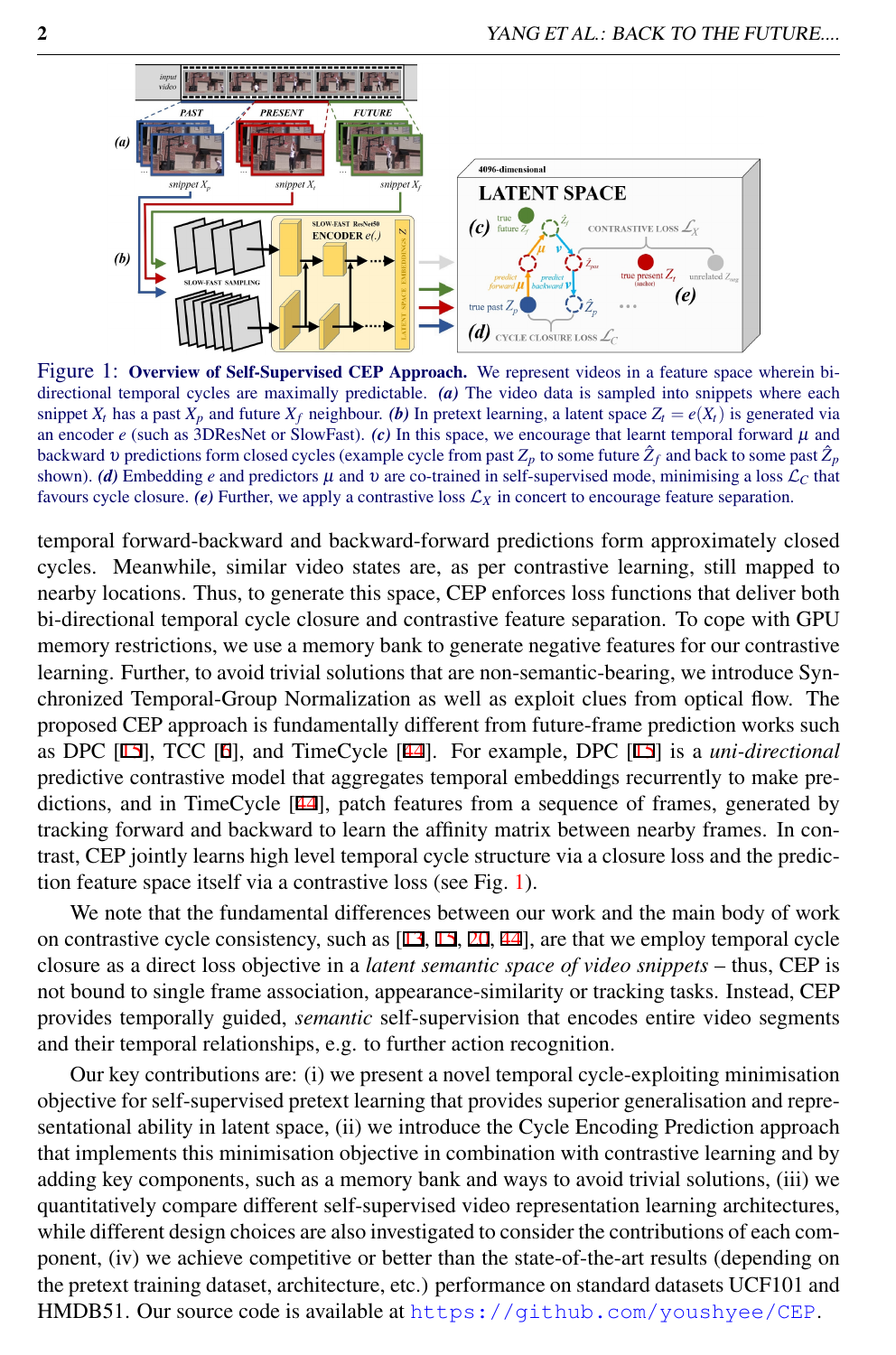<span id="page-1-0"></span>

Figure 1: Overview of Self-Supervised CEP Approach. We represent videos in a feature space wherein bidirectional temporal cycles are maximally predictable. *(a)* The video data is sampled into snippets where each snippet  $X_t$  has a past  $X_p$  and future  $X_f$  neighbour. *(b)* In pretext learning, a latent space  $Z_t = e(X_t)$  is generated via an encoder  $e$  (such as 3DResNet or SlowFast).  $(c)$  In this space, we encourage that learnt temporal forward  $\mu$  and backward  $v$  predictions form closed cycles (example cycle from past  $Z_p$  to some future  $\hat Z_f$  and back to some past  $\hat Z_p$ shown). *(d)* Embedding *e* and predictors  $\mu$  and  $\nu$  are co-trained in self-supervised mode, minimising a loss  $\mathcal{L}_C$  that favours cycle closure. *(e)* Further, we apply a contrastive loss  $\mathcal{L}_X$  in concert to encourage feature separation.

temporal forward-backward and backward-forward predictions form approximately closed cycles. Meanwhile, similar video states are, as per contrastive learning, still mapped to nearby locations. Thus, to generate this space, CEP enforces loss functions that deliver both bi-directional temporal cycle closure and contrastive feature separation. To cope with GPU memory restrictions, we use a memory bank to generate negative features for our contrastive learning. Further, to avoid trivial solutions that are non-semantic-bearing, we introduce Synchronized Temporal-Group Normalization as well as exploit clues from optical flow. The proposed CEP approach is fundamentally different from future-frame prediction works such as DPC [15], TCC [6], and TimeCycle [44]. For example, DPC [15] is a *uni-directional* predictive contrastive model that aggregates temporal embeddings recurrently to make predictions, and in TimeCycle [44], patch features from a sequence of frames, generated by tracking forward and backward to learn the affinity matrix between nearby frames. In contrast, CEP jointly learns high level temporal cycle structure via a closure loss and the prediction feature space itself via a contrastive loss (see Fig. [1\)](#page-1-0).

We note that the fundamental differences between our work and the main body of work on contrastive cycle consistency, such as [13, 15, 20, 44], are that we employ temporal cycle closure as a direct loss objective in a *latent semantic space of video snippets* – thus, CEP is not bound to single frame association, appearance-similarity or tracking tasks. Instead, CEP provides temporally guided, *semantic* self-supervision that encodes entire video segments and their temporal relationships, e.g. to further action recognition.

Our key contributions are: (i) we present a novel temporal cycle-exploiting minimisation objective for self-supervised pretext learning that provides superior generalisation and representational ability in latent space, (ii) we introduce the Cycle Encoding Prediction approach that implements this minimisation objective in combination with contrastive learning and by adding key components, such as a memory bank and ways to avoid trivial solutions, (iii) we quantitatively compare different self-supervised video representation learning architectures, while different design choices are also investigated to consider the contributions of each component, (iv) we achieve competitive or better than the state-of-the-art results (depending on the pretext training dataset, architecture, etc.) performance on standard datasets UCF101 and HMDB51. Our source code is available at <https://github.com/youshyee/CEP>.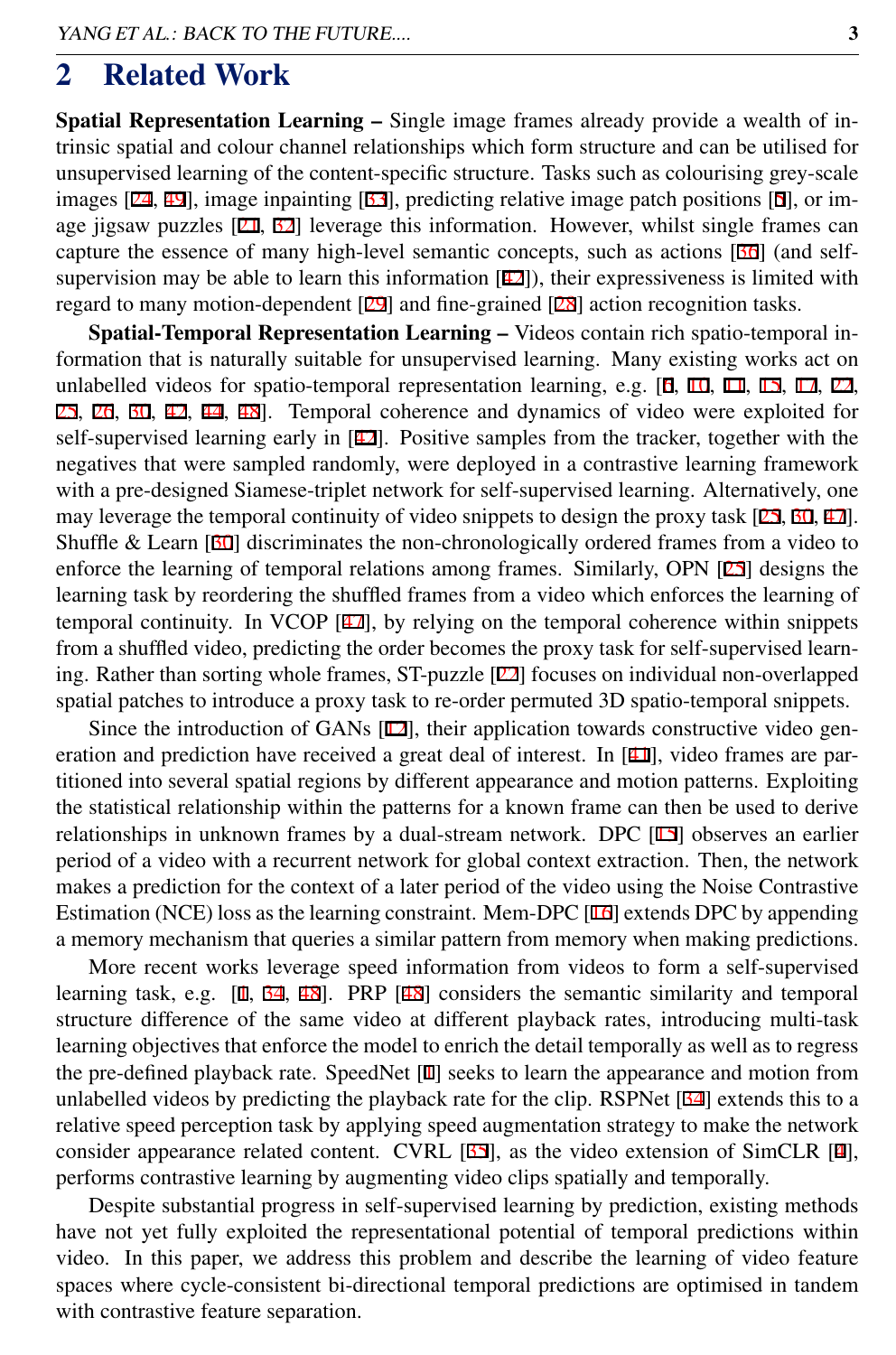### 2 Related Work

Spatial Representation Learning – Single image frames already provide a wealth of intrinsic spatial and colour channel relationships which form structure and can be utilised for unsupervised learning of the content-specific structure. Tasks such as colourising grey-scale images [24, 49], image inpainting [33], predicting relative image patch positions [5], or image jigsaw puzzles [21, 32] leverage this information. However, whilst single frames can capture the essence of many high-level semantic concepts, such as actions [36] (and selfsupervision may be able to learn this information  $[42]$ ), their expressiveness is limited with regard to many motion-dependent [29] and fine-grained [28] action recognition tasks.

Spatial-Temporal Representation Learning – Videos contain rich spatio-temporal information that is naturally suitable for unsupervised learning. Many existing works act on unlabelled videos for spatio-temporal representation learning, e.g. [6, 10, 11, 15, 17, 22, 25, 26, 30, 42, 44, 48]. Temporal coherence and dynamics of video were exploited for self-supervised learning early in [42]. Positive samples from the tracker, together with the negatives that were sampled randomly, were deployed in a contrastive learning framework with a pre-designed Siamese-triplet network for self-supervised learning. Alternatively, one may leverage the temporal continuity of video snippets to design the proxy task [25, 30, 47]. Shuffle & Learn [30] discriminates the non-chronologically ordered frames from a video to enforce the learning of temporal relations among frames. Similarly, OPN [25] designs the learning task by reordering the shuffled frames from a video which enforces the learning of temporal continuity. In VCOP [47], by relying on the temporal coherence within snippets from a shuffled video, predicting the order becomes the proxy task for self-supervised learning. Rather than sorting whole frames, ST-puzzle [22] focuses on individual non-overlapped spatial patches to introduce a proxy task to re-order permuted 3D spatio-temporal snippets.

Since the introduction of GANs [12], their application towards constructive video generation and prediction have received a great deal of interest. In [41], video frames are partitioned into several spatial regions by different appearance and motion patterns. Exploiting the statistical relationship within the patterns for a known frame can then be used to derive relationships in unknown frames by a dual-stream network. DPC [15] observes an earlier period of a video with a recurrent network for global context extraction. Then, the network makes a prediction for the context of a later period of the video using the Noise Contrastive Estimation (NCE) loss as the learning constraint. Mem-DPC [16] extends DPC by appending a memory mechanism that queries a similar pattern from memory when making predictions.

More recent works leverage speed information from videos to form a self-supervised learning task, e.g. [1, 34, 48]. PRP [48] considers the semantic similarity and temporal structure difference of the same video at different playback rates, introducing multi-task learning objectives that enforce the model to enrich the detail temporally as well as to regress the pre-defined playback rate. SpeedNet [1] seeks to learn the appearance and motion from unlabelled videos by predicting the playback rate for the clip. RSPNet [34] extends this to a relative speed perception task by applying speed augmentation strategy to make the network consider appearance related content. CVRL [35], as the video extension of SimCLR [4], performs contrastive learning by augmenting video clips spatially and temporally.

Despite substantial progress in self-supervised learning by prediction, existing methods have not yet fully exploited the representational potential of temporal predictions within video. In this paper, we address this problem and describe the learning of video feature spaces where cycle-consistent bi-directional temporal predictions are optimised in tandem with contrastive feature separation.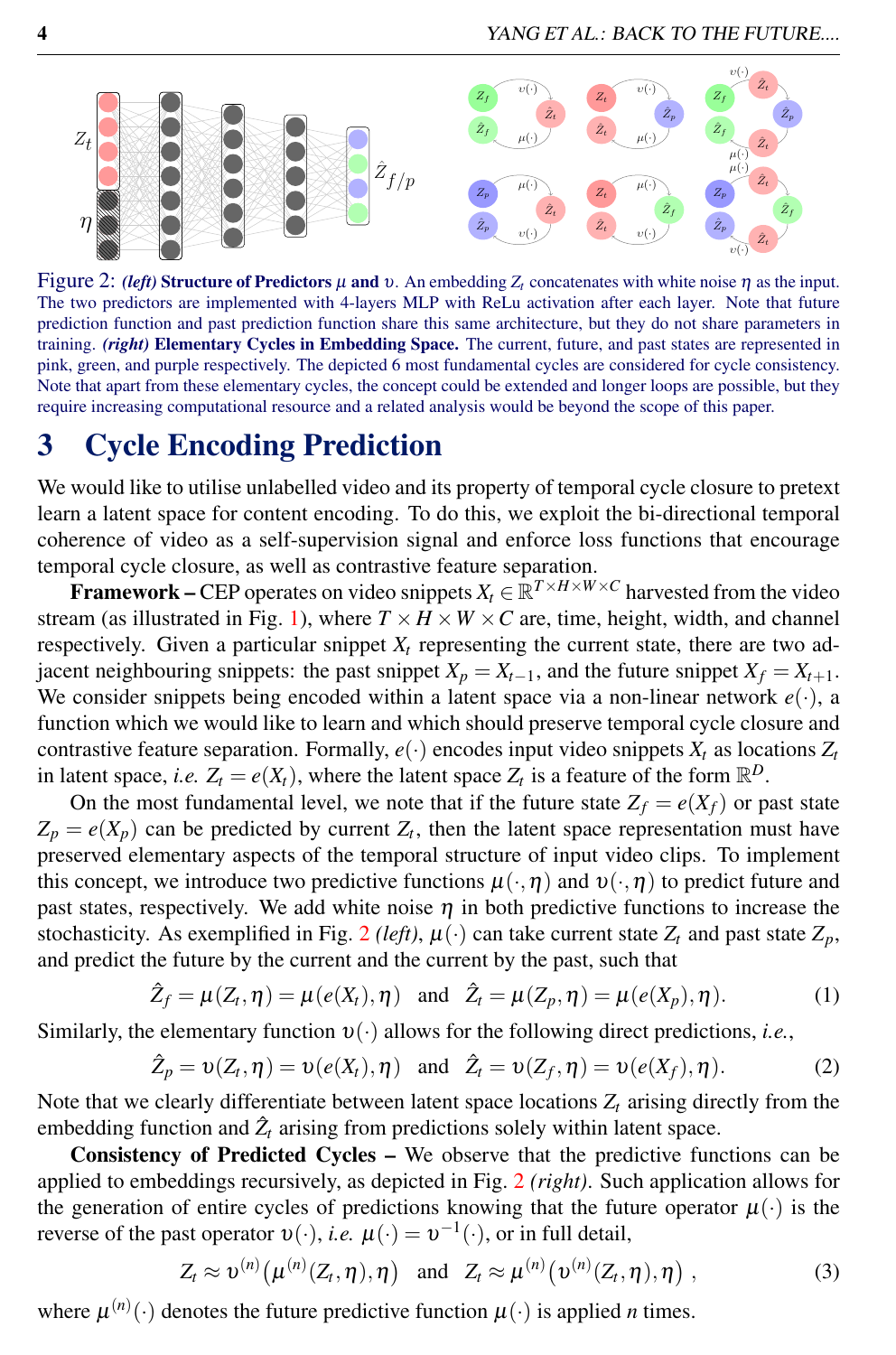<span id="page-3-0"></span>

Figure 2: *(left)* Structure of Predictors  $\mu$  and  $\nu$ . An embedding  $Z_t$  concatenates with white noise  $\eta$  as the input. The two predictors are implemented with 4-layers MLP with ReLu activation after each layer. Note that future prediction function and past prediction function share this same architecture, but they do not share parameters in training. *(right)* Elementary Cycles in Embedding Space. The current, future, and past states are represented in pink, green, and purple respectively. The depicted 6 most fundamental cycles are considered for cycle consistency. Note that apart from these elementary cycles, the concept could be extended and longer loops are possible, but they require increasing computational resource and a related analysis would be beyond the scope of this paper.

# 3 Cycle Encoding Prediction

We would like to utilise unlabelled video and its property of temporal cycle closure to pretext learn a latent space for content encoding. To do this, we exploit the bi-directional temporal coherence of video as a self-supervision signal and enforce loss functions that encourage temporal cycle closure, as well as contrastive feature separation.

**Framework – CEP** operates on video snippets  $X_t \in \mathbb{R}^{T \times H \times W \times C}$  harvested from the video stream (as illustrated in Fig. [1\)](#page-1-0), where  $T \times H \times W \times C$  are, time, height, width, and channel respectively. Given a particular snippet  $X_t$  representing the current state, there are two adjacent neighbouring snippets: the past snippet  $X_p = X_{t-1}$ , and the future snippet  $X_f = X_{t+1}$ . We consider snippets being encoded within a latent space via a non-linear network  $e(\cdot)$ , a function which we would like to learn and which should preserve temporal cycle closure and contrastive feature separation. Formally,  $e(\cdot)$  encodes input video snippets  $X_t$  as locations  $Z_t$ in latent space, *i.e.*  $Z_t = e(X_t)$ , where the latent space  $Z_t$  is a feature of the form  $\mathbb{R}^D$ .

On the most fundamental level, we note that if the future state  $Z_f = e(X_f)$  or past state  $Z_p = e(X_p)$  can be predicted by current  $Z_t$ , then the latent space representation must have preserved elementary aspects of the temporal structure of input video clips. To implement this concept, we introduce two predictive functions  $\mu(\cdot, \eta)$  and  $v(\cdot, \eta)$  to predict future and past states, respectively. We add white noise  $\eta$  in both predictive functions to increase the stochasticity. As exemplified in Fig. [2](#page-3-0) *(left)*,  $\mu$  (·) can take current state  $Z_t$  and past state  $Z_p$ , and predict the future by the current and the current by the past, such that

$$
\hat{Z}_f = \mu(Z_t, \eta) = \mu(e(X_t), \eta) \quad \text{and} \quad \hat{Z}_t = \mu(Z_p, \eta) = \mu(e(X_p), \eta). \tag{1}
$$

Similarly, the elementary function  $v(\cdot)$  allows for the following direct predictions, *i.e.*,

$$
\hat{Z}_p = \upsilon(Z_t, \eta) = \upsilon(e(X_t), \eta) \text{ and } \hat{Z}_t = \upsilon(Z_f, \eta) = \upsilon(e(X_f), \eta). \tag{2}
$$

Note that we clearly differentiate between latent space locations  $Z_t$  arising directly from the embedding function and  $\hat{Z}_t$  arising from predictions solely within latent space.

Consistency of Predicted Cycles – We observe that the predictive functions can be applied to embeddings recursively, as depicted in Fig. [2](#page-3-0) *(right)*. Such application allows for the generation of entire cycles of predictions knowing that the future operator  $\mu(\cdot)$  is the reverse of the past operator  $v(\cdot)$ , *i.e.*  $\mu(\cdot) = v^{-1}(\cdot)$ , or in full detail,

$$
Z_t \approx \upsilon^{(n)}\big(\mu^{(n)}(Z_t,\eta),\eta\big) \quad \text{and} \quad Z_t \approx \mu^{(n)}\big(\upsilon^{(n)}(Z_t,\eta),\eta\big) \tag{3}
$$

where  $\mu^{(n)}(\cdot)$  denotes the future predictive function  $\mu(\cdot)$  is applied *n* times.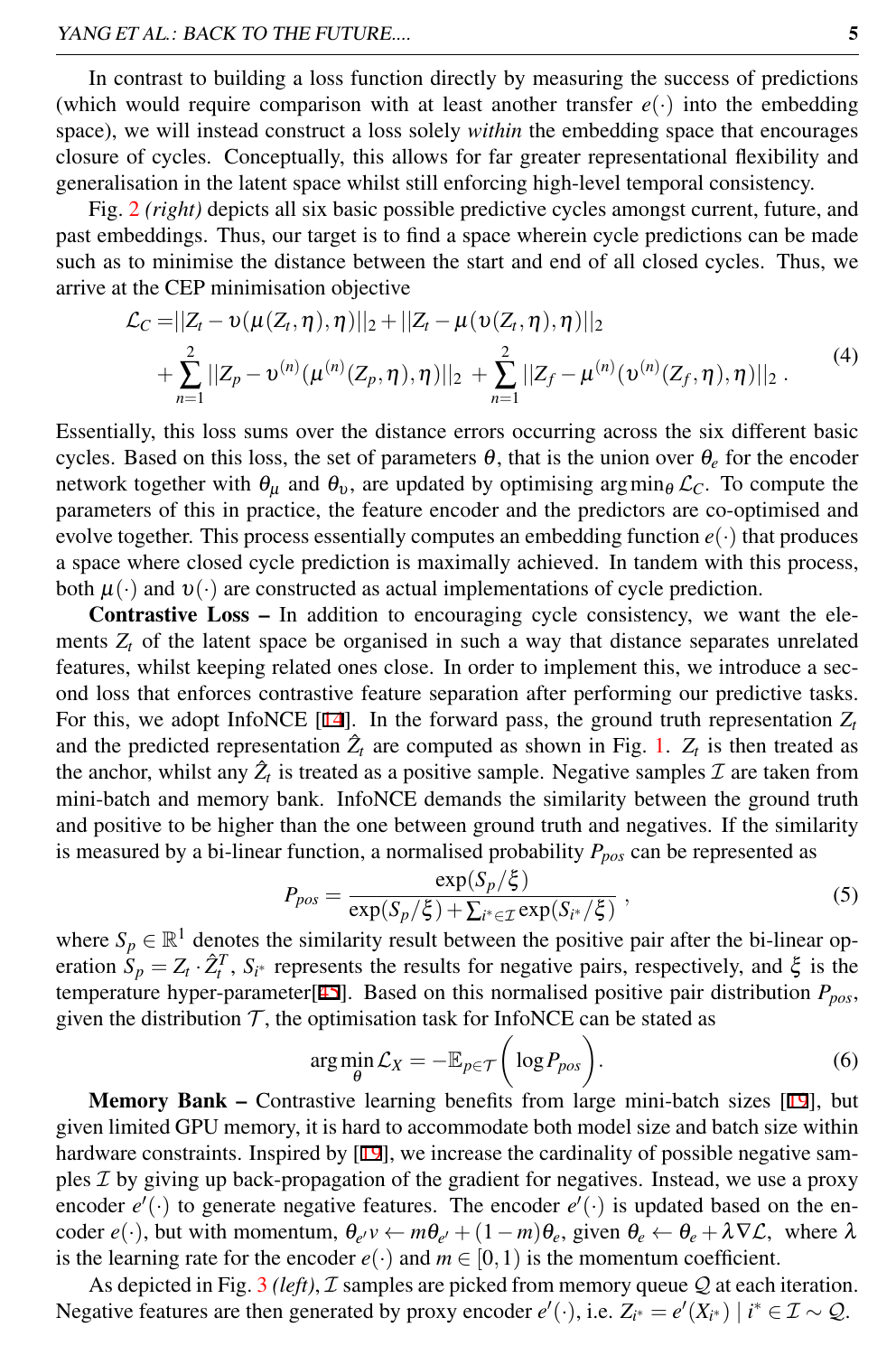In contrast to building a loss function directly by measuring the success of predictions (which would require comparison with at least another transfer  $e(\cdot)$  into the embedding space), we will instead construct a loss solely *within* the embedding space that encourages closure of cycles. Conceptually, this allows for far greater representational flexibility and generalisation in the latent space whilst still enforcing high-level temporal consistency.

Fig. [2](#page-3-0) *(right)* depicts all six basic possible predictive cycles amongst current, future, and past embeddings. Thus, our target is to find a space wherein cycle predictions can be made such as to minimise the distance between the start and end of all closed cycles. Thus, we arrive at the CEP minimisation objective

<span id="page-4-0"></span>
$$
\mathcal{L}_C = ||Z_t - \upsilon(\mu(Z_t, \eta), \eta)||_2 + ||Z_t - \mu(\upsilon(Z_t, \eta), \eta)||_2 \n+ \sum_{n=1}^2 ||Z_p - \upsilon^{(n)}(\mu^{(n)}(Z_p, \eta), \eta)||_2 + \sum_{n=1}^2 ||Z_f - \mu^{(n)}(\upsilon^{(n)}(Z_f, \eta), \eta)||_2.
$$
\n(4)

Essentially, this loss sums over the distance errors occurring across the six different basic cycles. Based on this loss, the set of parameters  $\theta$ , that is the union over  $\theta_e$  for the encoder network together with  $\theta_{\mu}$  and  $\theta_{\nu}$ , are updated by optimising argmin<sub> $\theta$ </sub>  $\mathcal{L}_C$ . To compute the parameters of this in practice, the feature encoder and the predictors are co-optimised and evolve together. This process essentially computes an embedding function  $e(\cdot)$  that produces a space where closed cycle prediction is maximally achieved. In tandem with this process, both  $\mu(\cdot)$  and  $v(\cdot)$  are constructed as actual implementations of cycle prediction.

Contrastive Loss – In addition to encouraging cycle consistency, we want the elements  $Z_t$  of the latent space be organised in such a way that distance separates unrelated features, whilst keeping related ones close. In order to implement this, we introduce a second loss that enforces contrastive feature separation after performing our predictive tasks. For this, we adopt InfoNCE [14]. In the forward pass, the ground truth representation  $Z_t$ and the predicted representation  $\hat{Z}_t$  are computed as shown in Fig. [1.](#page-1-0)  $Z_t$  is then treated as the anchor, whilst any  $\hat{Z}_t$  is treated as a positive sample. Negative samples  $\mathcal I$  are taken from mini-batch and memory bank. InfoNCE demands the similarity between the ground truth and positive to be higher than the one between ground truth and negatives. If the similarity is measured by a bi-linear function, a normalised probability *Ppos* can be represented as

$$
P_{pos} = \frac{\exp(S_p/\xi)}{\exp(S_p/\xi) + \sum_{i^* \in \mathcal{I}} \exp(S_{i^*}/\xi)},
$$
\n(5)

where  $S_p \in \mathbb{R}^1$  denotes the similarity result between the positive pair after the bi-linear operation  $S_p = Z_t \cdot \hat{Z}_t^T$ ,  $S_{i^*}$  represents the results for negative pairs, respectively, and  $\xi$  is the temperature hyper-parameter[45]. Based on this normalised positive pair distribution *Ppos*, given the distribution  $\mathcal{T}$ , the optimisation task for InfoNCE can be stated as

$$
\arg\min_{\theta} \mathcal{L}_X = -\mathbb{E}_{p \in \mathcal{T}} \bigg( \log P_{pos} \bigg). \tag{6}
$$

Memory Bank – Contrastive learning benefits from large mini-batch sizes [19], but given limited GPU memory, it is hard to accommodate both model size and batch size within hardware constraints. Inspired by  $[19]$ , we increase the cardinality of possible negative samples  $\mathcal I$  by giving up back-propagation of the gradient for negatives. Instead, we use a proxy encoder  $e'(\cdot)$  to generate negative features. The encoder  $e'(\cdot)$  is updated based on the encoder  $e(\cdot)$ , but with momentum,  $\theta_{e'}v \leftarrow m\theta_{e'}+(1-m)\theta_e$ , given  $\theta_e \leftarrow \theta_e + \lambda \nabla \mathcal{L}$ , where  $\lambda$ is the learning rate for the encoder  $e(\cdot)$  and  $m \in [0,1)$  is the momentum coefficient.

As depicted in Fig. [3](#page-5-0) *(left)*, *I* samples are picked from memory queue *Q* at each iteration. Negative features are then generated by proxy encoder  $e'(\cdot)$ , i.e.  $Z_{i^*} = e'(X_{i^*}) \mid i^* \in \mathcal{I} \sim \mathcal{Q}$ .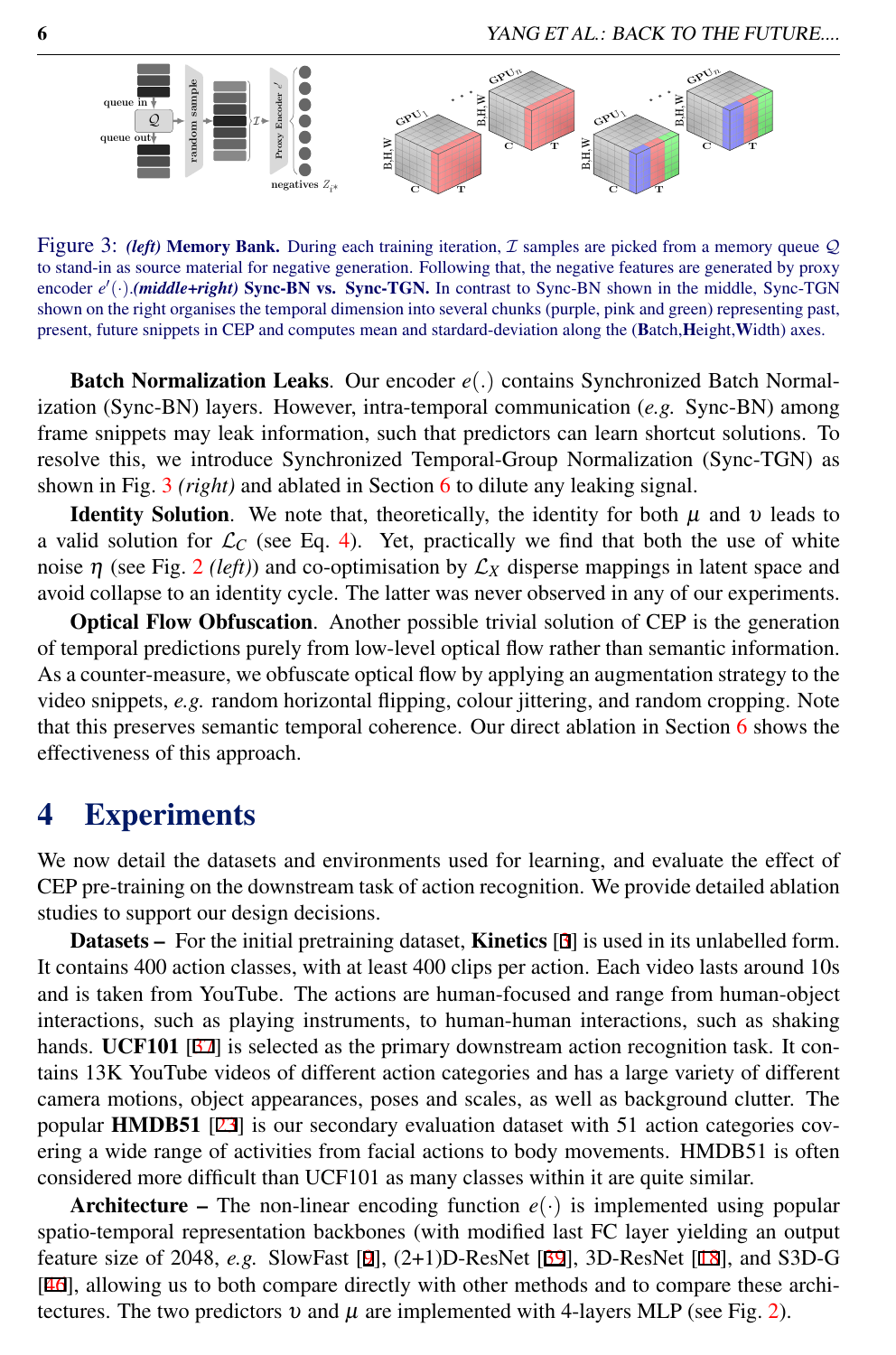<span id="page-5-0"></span>

Figure 3: *(left)* Memory Bank. During each training iteration,  $\mathcal I$  samples are picked from a memory queue  $\mathcal Q$ to stand-in as source material for negative generation. Following that, the negative features are generated by proxy encoder  $e'(\cdot)$ .*(middle+right)* Sync-BN vs. Sync-TGN. In contrast to Sync-BN shown in the middle, Sync-TGN shown on the right organises the temporal dimension into several chunks (purple, pink and green) representing past, present, future snippets in CEP and computes mean and stardard-deviation along the (Batch,Height,Width) axes.

Batch Normalization Leaks. Our encoder *e*(.) contains Synchronized Batch Normalization (Sync-BN) layers. However, intra-temporal communication (*e.g.* Sync-BN) among frame snippets may leak information, such that predictors can learn shortcut solutions. To resolve this, we introduce Synchronized Temporal-Group Normalization (Sync-TGN) as shown in Fig. [3](#page-5-0) *(right)* and ablated in Section [6](#page-8-0) to dilute any leaking signal.

**Identity Solution.** We note that, theoretically, the identity for both  $\mu$  and  $\nu$  leads to a valid solution for  $\mathcal{L}_C$  (see Eq. [4\)](#page-4-0). Yet, practically we find that both the use of white noise  $\eta$  (see Fig. [2](#page-3-0) *(left)*) and co-optimisation by  $\mathcal{L}_X$  disperse mappings in latent space and avoid collapse to an identity cycle. The latter was never observed in any of our experiments.

Optical Flow Obfuscation. Another possible trivial solution of CEP is the generation of temporal predictions purely from low-level optical flow rather than semantic information. As a counter-measure, we obfuscate optical flow by applying an augmentation strategy to the video snippets, *e.g.* random horizontal flipping, colour jittering, and random cropping. Note that this preserves semantic temporal coherence. Our direct ablation in Section [6](#page-8-0) shows the effectiveness of this approach.

# 4 Experiments

We now detail the datasets and environments used for learning, and evaluate the effect of CEP pre-training on the downstream task of action recognition. We provide detailed ablation studies to support our design decisions.

Datasets – For the initial pretraining dataset, Kinetics [3] is used in its unlabelled form. It contains 400 action classes, with at least 400 clips per action. Each video lasts around 10s and is taken from YouTube. The actions are human-focused and range from human-object interactions, such as playing instruments, to human-human interactions, such as shaking hands. UCF101 [37] is selected as the primary downstream action recognition task. It contains 13K YouTube videos of different action categories and has a large variety of different camera motions, object appearances, poses and scales, as well as background clutter. The popular HMDB51 [23] is our secondary evaluation dataset with 51 action categories covering a wide range of activities from facial actions to body movements. HMDB51 is often considered more difficult than UCF101 as many classes within it are quite similar.

**Architecture –** The non-linear encoding function  $e(\cdot)$  is implemented using popular spatio-temporal representation backbones (with modified last FC layer yielding an output feature size of 2048, *e.g.* SlowFast [9], (2+1)D-ResNet [39], 3D-ResNet [18], and S3D-G [46], allowing us to both compare directly with other methods and to compare these architectures. The two predictors  $v$  and  $\mu$  are implemented with 4-layers MLP (see Fig. [2\)](#page-3-0).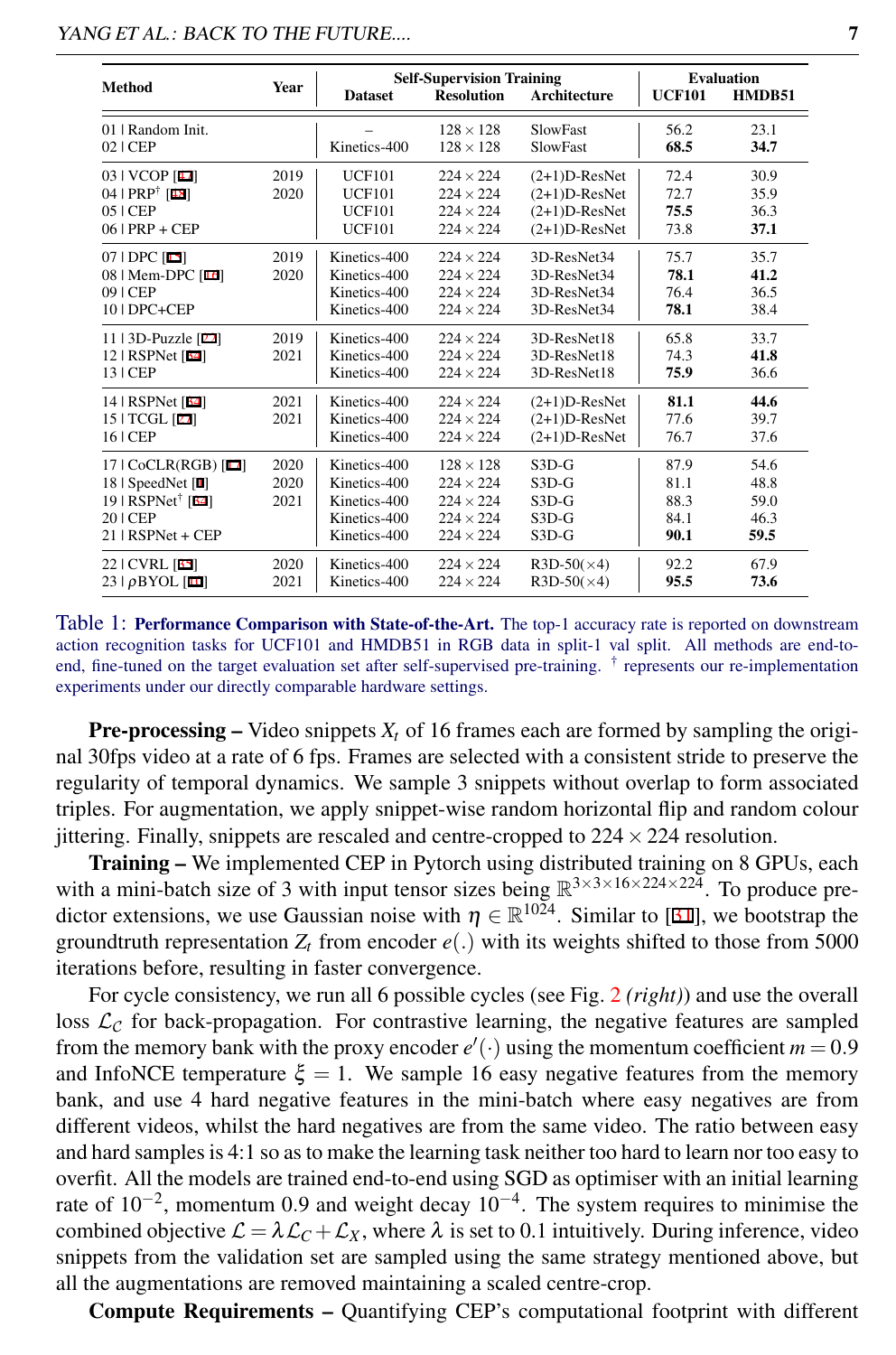<span id="page-6-0"></span>

| Method                                                                                                           | <b>Year</b>          | <b>Dataset</b>                                                               | <b>Resolution</b>                                                                                | <b>Self-Supervision Training</b><br>Architecture                         |                                      | <b>Evaluation</b><br>HMDB51          |
|------------------------------------------------------------------------------------------------------------------|----------------------|------------------------------------------------------------------------------|--------------------------------------------------------------------------------------------------|--------------------------------------------------------------------------|--------------------------------------|--------------------------------------|
| 01   Random Init.<br>$02$   CEP                                                                                  |                      | Kinetics-400                                                                 | $128 \times 128$<br>$128 \times 128$                                                             | <b>SlowFast</b><br><b>SlowFast</b>                                       | 56.2<br>68.5                         | 23.1<br>34.7                         |
| 03   VCOP [47]<br>04   $PRP^{\dagger}$ [48]<br>$05$   CEP<br>$06$   PRP + CEP                                    | 2019<br>2020         | <b>UCF101</b><br><b>UCF101</b><br><b>UCF101</b><br><b>UCF101</b>             | $224 \times 224$<br>$224 \times 224$<br>$224 \times 224$<br>$224 \times 224$                     | $(2+1)D-ResNet$<br>$(2+1)D-ResNet$<br>$(2+1)D-ResNet$<br>$(2+1)D-ResNet$ | 72.4<br>72.7<br>75.5<br>73.8         | 30.9<br>35.9<br>36.3<br>37.1         |
| $07$   DPC [15]<br>08   Mem-DPC [16]<br>$09$   CEP<br>10   DPC+CEP                                               | 2019<br>2020         | Kinetics-400<br>Kinetics-400<br>Kinetics-400<br>Kinetics-400                 | $224 \times 224$<br>$224 \times 224$<br>$224 \times 224$<br>$224 \times 224$                     | 3D-ResNet34<br>3D-ResNet34<br>3D-ResNet34<br>3D-ResNet34                 | 75.7<br>78.1<br>76.4<br>78.1         | 35.7<br>41.2<br>36.5<br>38.4         |
| 11   3D-Puzzle [22]<br>12   RSPNet [34]<br>13   CEP                                                              | 2019<br>2021         | Kinetics-400<br>Kinetics-400<br>Kinetics-400                                 | $224 \times 224$<br>$224 \times 224$<br>$224 \times 224$                                         | 3D-ResNet18<br>3D-ResNet18<br>3D-ResNet18                                | 65.8<br>74.3<br>75.9                 | 33.7<br>41.8<br>36.6                 |
| 14   RSPNet [34]<br>15   TCGL [27]<br>16   CEP                                                                   | 2021<br>2021         | Kinetics-400<br>Kinetics-400<br>Kinetics-400                                 | $224 \times 224$<br>$224 \times 224$<br>$224 \times 224$                                         | $(2+1)D-ResNet$<br>$(2+1)D-ResNet$<br>$(2+1)D-ResNet$                    | 81.1<br>77.6<br>76.7                 | 44.6<br>39.7<br>37.6                 |
| 17   CoCLR(RGB) [17]<br>18   SpeedNet [1]<br>$19$   RSPNet <sup>†</sup> [34]<br>$201$ CEP<br>$21$   RSPNet + CEP | 2020<br>2020<br>2021 | Kinetics-400<br>Kinetics-400<br>Kinetics-400<br>Kinetics-400<br>Kinetics-400 | $128 \times 128$<br>$224 \times 224$<br>$224 \times 224$<br>$224 \times 224$<br>$224 \times 224$ | $S3D-G$<br>$S3D-G$<br>$S3D-G$<br>$S3D-G$<br>$S3D-G$                      | 87.9<br>81.1<br>88.3<br>84.1<br>90.1 | 54.6<br>48.8<br>59.0<br>46.3<br>59.5 |
| 22   CVRL [35]<br>$23   \rho B YOL$ [10]                                                                         | 2020<br>2021         | Kinetics-400<br>Kinetics-400                                                 | $224 \times 224$<br>$224 \times 224$                                                             | $R3D-50(\times 4)$<br>$R3D-50(\times 4)$                                 | 92.2<br>95.5                         | 67.9<br>73.6                         |

#### YANG *ET AL.*: BACK TO THE FUTURE.... 7

Table 1: Performance Comparison with State-of-the-Art. The top-1 accuracy rate is reported on downstream action recognition tasks for UCF101 and HMDB51 in RGB data in split-1 val split. All methods are end-toend, fine-tuned on the target evaluation set after self-supervised pre-training. † represents our re-implementation experiments under our directly comparable hardware settings.

**Pre-processing –** Video snippets  $X_t$  of 16 frames each are formed by sampling the original 30fps video at a rate of 6 fps. Frames are selected with a consistent stride to preserve the regularity of temporal dynamics. We sample 3 snippets without overlap to form associated triples. For augmentation, we apply snippet-wise random horizontal flip and random colour jittering. Finally, snippets are rescaled and centre-cropped to  $224 \times 224$  resolution.

Training – We implemented CEP in Pytorch using distributed training on 8 GPUs, each with a mini-batch size of 3 with input tensor sizes being  $\mathbb{R}^{3 \times 3 \times 16 \times 224 \times 224}$ . To produce predictor extensions, we use Gaussian noise with  $\eta \in \mathbb{R}^{10\bar{2}4}$ . Similar to [31], we bootstrap the groundtruth representation  $Z_t$  from encoder  $e(.)$  with its weights shifted to those from 5000 iterations before, resulting in faster convergence.

For cycle consistency, we run all 6 possible cycles (see Fig. [2](#page-3-0) *(right)*) and use the overall loss  $\mathcal{L}_{\mathcal{C}}$  for back-propagation. For contrastive learning, the negative features are sampled from the memory bank with the proxy encoder  $e'(\cdot)$  using the momentum coefficient  $m = 0.9$ and InfoNCE temperature  $\xi = 1$ . We sample 16 easy negative features from the memory bank, and use 4 hard negative features in the mini-batch where easy negatives are from different videos, whilst the hard negatives are from the same video. The ratio between easy and hard samples is 4:1 so as to make the learning task neither too hard to learn nor too easy to overfit. All the models are trained end-to-end using SGD as optimiser with an initial learning rate of  $10^{-2}$ , momentum 0.9 and weight decay  $10^{-4}$ . The system requires to minimise the combined objective  $\mathcal{L} = \lambda \mathcal{L}_C + \mathcal{L}_X$ , where  $\lambda$  is set to 0.1 intuitively. During inference, video snippets from the validation set are sampled using the same strategy mentioned above, but all the augmentations are removed maintaining a scaled centre-crop.

Compute Requirements – Quantifying CEP's computational footprint with different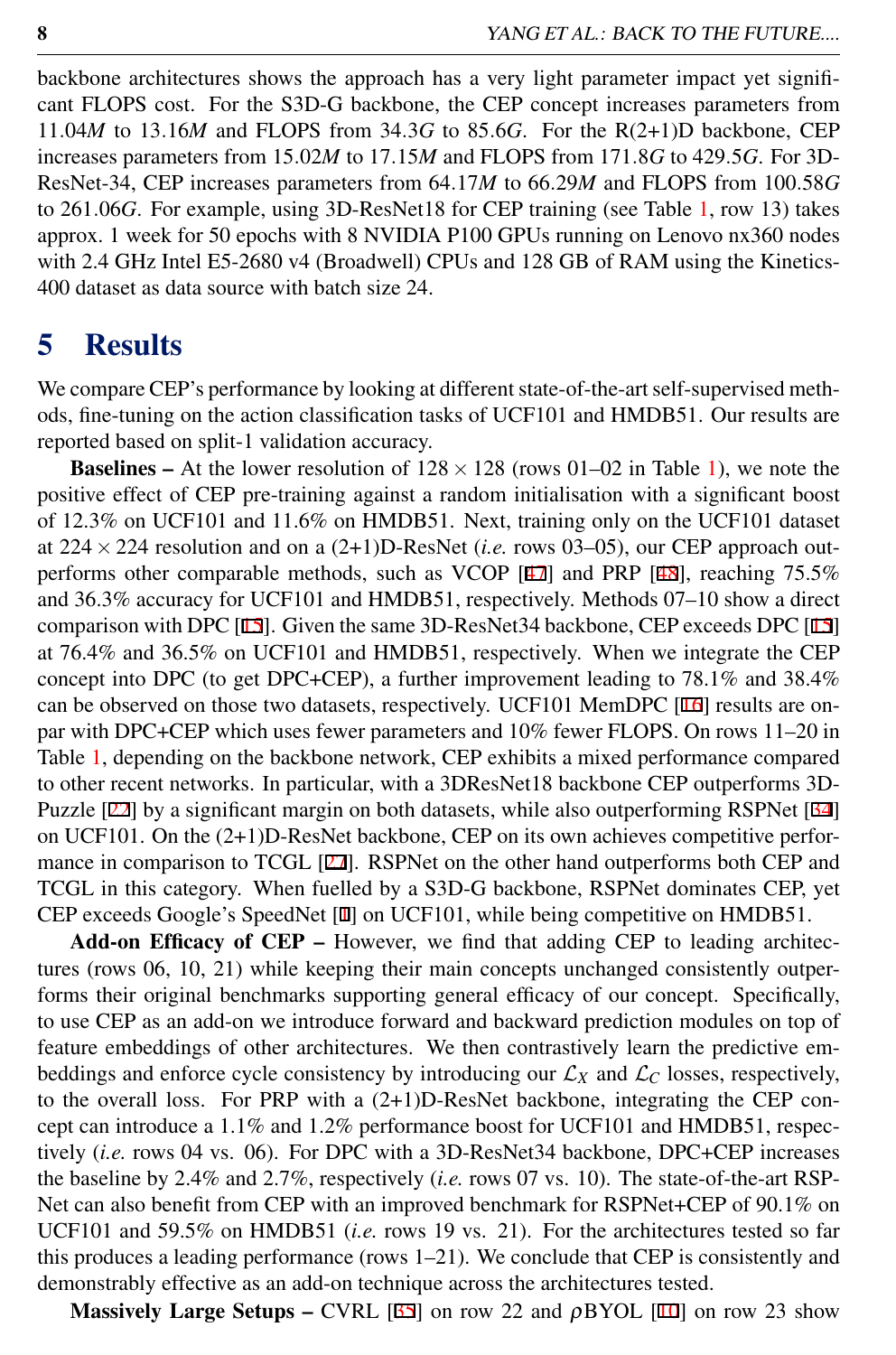backbone architectures shows the approach has a very light parameter impact yet significant FLOPS cost. For the S3D-G backbone, the CEP concept increases parameters from 11.04*M* to 13.16*M* and FLOPS from 34.3*G* to 85.6*G*. For the R(2+1)D backbone, CEP increases parameters from 15.02*M* to 17.15*M* and FLOPS from 171.8*G* to 429.5*G*. For 3D-ResNet-34, CEP increases parameters from 64.17*M* to 66.29*M* and FLOPS from 100.58*G* to 261.06*G*. For example, using 3D-ResNet18 for CEP training (see Table [1,](#page-6-0) row 13) takes approx. 1 week for 50 epochs with 8 NVIDIA P100 GPUs running on Lenovo nx360 nodes with 2.4 GHz Intel E5-2680 v4 (Broadwell) CPUs and 128 GB of RAM using the Kinetics-400 dataset as data source with batch size 24.

# 5 Results

We compare CEP's performance by looking at different state-of-the-art self-supervised methods, fine-tuning on the action classification tasks of UCF101 and HMDB51. Our results are reported based on split-1 validation accuracy.

**Baselines –** At the lower resolution of  $128 \times 128$  (rows 01–02 in Table [1\)](#page-6-0), we note the positive effect of CEP pre-training against a random initialisation with a significant boost of 12.3% on UCF101 and 11.6% on HMDB51. Next, training only on the UCF101 dataset at 224×224 resolution and on a (2+1)D-ResNet (*i.e.* rows 03–05), our CEP approach outperforms other comparable methods, such as VCOP [47] and PRP [48], reaching 75.5% and 36.3% accuracy for UCF101 and HMDB51, respectively. Methods 07–10 show a direct comparison with DPC [15]. Given the same 3D-ResNet34 backbone, CEP exceeds DPC [15] at 76.4% and 36.5% on UCF101 and HMDB51, respectively. When we integrate the CEP concept into DPC (to get DPC+CEP), a further improvement leading to 78.1% and 38.4% can be observed on those two datasets, respectively. UCF101 MemDPC [16] results are onpar with DPC+CEP which uses fewer parameters and 10% fewer FLOPS. On rows 11–20 in Table [1,](#page-6-0) depending on the backbone network, CEP exhibits a mixed performance compared to other recent networks. In particular, with a 3DResNet18 backbone CEP outperforms 3D-Puzzle [22] by a significant margin on both datasets, while also outperforming RSPNet [34] on UCF101. On the (2+1)D-ResNet backbone, CEP on its own achieves competitive performance in comparison to TCGL [27]. RSPNet on the other hand outperforms both CEP and TCGL in this category. When fuelled by a S3D-G backbone, RSPNet dominates CEP, yet CEP exceeds Google's SpeedNet [1] on UCF101, while being competitive on HMDB51.

Add-on Efficacy of CEP – However, we find that adding CEP to leading architectures (rows 06, 10, 21) while keeping their main concepts unchanged consistently outperforms their original benchmarks supporting general efficacy of our concept. Specifically, to use CEP as an add-on we introduce forward and backward prediction modules on top of feature embeddings of other architectures. We then contrastively learn the predictive embeddings and enforce cycle consistency by introducing our  $\mathcal{L}_X$  and  $\mathcal{L}_C$  losses, respectively, to the overall loss. For PRP with a (2+1)D-ResNet backbone, integrating the CEP concept can introduce a 1.1% and 1.2% performance boost for UCF101 and HMDB51, respectively (*i.e.* rows 04 vs. 06). For DPC with a 3D-ResNet34 backbone, DPC+CEP increases the baseline by 2.4% and 2.7%, respectively (*i.e.* rows 07 vs. 10). The state-of-the-art RSP-Net can also benefit from CEP with an improved benchmark for RSPNet+CEP of 90.1% on UCF101 and 59.5% on HMDB51 (*i.e.* rows 19 vs. 21). For the architectures tested so far this produces a leading performance (rows 1–21). We conclude that CEP is consistently and demonstrably effective as an add-on technique across the architectures tested.

Massively Large Setups – CVRL [35] on row 22 and  $\rho$ BYOL [10] on row 23 show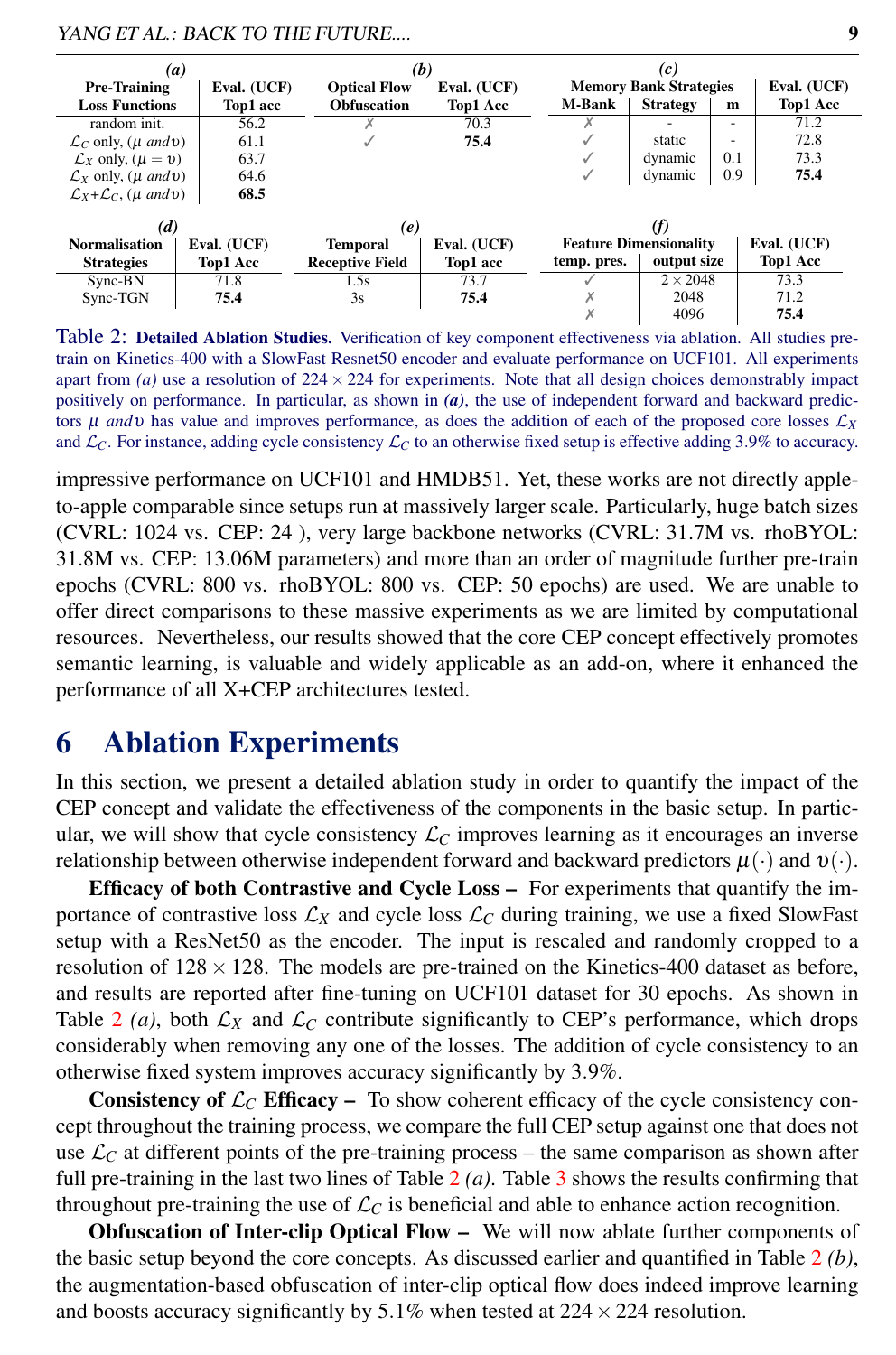| $\left(a\right)$                            |  | (b)         |                        |                 | (c)                                          |               |                 |                          |          |
|---------------------------------------------|--|-------------|------------------------|-----------------|----------------------------------------------|---------------|-----------------|--------------------------|----------|
| <b>Pre-Training</b>                         |  | Eval. (UCF) | <b>Optical Flow</b>    | Eval. (UCF)     | <b>Memory Bank Strategies</b><br>Eval. (UCF) |               |                 |                          |          |
| <b>Loss Functions</b>                       |  | Top1 acc    | <b>Obfuscation</b>     | <b>Top1 Acc</b> |                                              | <b>M-Bank</b> | <b>Strategy</b> | m                        | Top1 Acc |
| random init.                                |  | 56.2        |                        | 70.3            |                                              |               |                 | ۰                        | 71.2     |
| $\mathcal{L}_C$ only, ( $\mu$ and $\nu$ )   |  | 61.1        |                        | 75.4            |                                              |               | static          | $\overline{\phantom{a}}$ | 72.8     |
| $\mathcal{L}_X$ only, $(\mu = v)$           |  | 63.7        |                        |                 |                                              |               | dynamic         | 0.1                      | 73.3     |
| $\mathcal{L}_X$ only, ( $\mu$ and $\nu$ )   |  | 64.6        |                        |                 |                                              |               | dynamic         | 0.9                      | 75.4     |
| $\mathcal{L}_X + \mathcal{L}_C$ , (µ and v) |  | 68.5        |                        |                 |                                              |               |                 |                          |          |
| (d)                                         |  | (e)         |                        | (f)             |                                              |               |                 |                          |          |
| <b>Normalisation</b>                        |  | Eval. (UCF) | <b>Temporal</b>        | Eval. (UCF)     | <b>Feature Dimensionality</b><br>Eval. (UCF) |               |                 |                          |          |
| <b>Strategies</b>                           |  | Top1 Acc    | <b>Receptive Field</b> | Top1 acc        |                                              | temp. pres.   | output size     |                          | Top1 Acc |
| Sync-BN                                     |  | 71.8        | 1.5s                   | 73.7            |                                              |               | $2 \times 2048$ |                          | 73.3     |
| Sync-TGN                                    |  | 75.4        | 3s                     | 75.4            |                                              |               | 2048            |                          | 71.2     |
|                                             |  |             |                        |                 |                                              |               | 4096            |                          | 75.4     |

YANG *ET AL.*: BACK TO THE FUTURE.... 9

<span id="page-8-1"></span>Table 2: Detailed Ablation Studies. Verification of key component effectiveness via ablation. All studies pretrain on Kinetics-400 with a SlowFast Resnet50 encoder and evaluate performance on UCF101. All experiments apart from  $(a)$  use a resolution of  $224 \times 224$  for experiments. Note that all design choices demonstrably impact positively on performance. In particular, as shown in *(a)*, the use of independent forward and backward predictors  $\mu$  *and*  $\nu$  has value and improves performance, as does the addition of each of the proposed core losses  $\mathcal{L}_X$ and  $\mathcal{L}_C$ . For instance, adding cycle consistency  $\mathcal{L}_C$  to an otherwise fixed setup is effective adding 3.9% to accuracy.

impressive performance on UCF101 and HMDB51. Yet, these works are not directly appleto-apple comparable since setups run at massively larger scale. Particularly, huge batch sizes (CVRL: 1024 vs. CEP: 24 ), very large backbone networks (CVRL: 31.7M vs. rhoBYOL: 31.8M vs. CEP: 13.06M parameters) and more than an order of magnitude further pre-train epochs (CVRL: 800 vs. rhoBYOL: 800 vs. CEP: 50 epochs) are used. We are unable to offer direct comparisons to these massive experiments as we are limited by computational resources. Nevertheless, our results showed that the core CEP concept effectively promotes semantic learning, is valuable and widely applicable as an add-on, where it enhanced the performance of all X+CEP architectures tested.

# <span id="page-8-0"></span>6 Ablation Experiments

In this section, we present a detailed ablation study in order to quantify the impact of the CEP concept and validate the effectiveness of the components in the basic setup. In particular, we will show that cycle consistency  $\mathcal{L}_C$  improves learning as it encourages an inverse relationship between otherwise independent forward and backward predictors  $\mu(\cdot)$  and  $\nu(\cdot)$ .

Efficacy of both Contrastive and Cycle Loss – For experiments that quantify the importance of contrastive loss  $\mathcal{L}_X$  and cycle loss  $\mathcal{L}_C$  during training, we use a fixed SlowFast setup with a ResNet50 as the encoder. The input is rescaled and randomly cropped to a resolution of  $128 \times 128$ . The models are pre-trained on the Kinetics-400 dataset as before, and results are reported after fine-tuning on UCF101 dataset for 30 epochs. As shown in Table [2](#page-8-1) (a), both  $\mathcal{L}_X$  and  $\mathcal{L}_C$  contribute significantly to CEP's performance, which drops considerably when removing any one of the losses. The addition of cycle consistency to an otherwise fixed system improves accuracy significantly by 3.9%.

**Consistency of**  $\mathcal{L}_C$  **Efficacy – To show coherent efficacy of the cycle consistency con**cept throughout the training process, we compare the full CEP setup against one that does not use  $\mathcal{L}_C$  at different points of the pre-training process – the same comparison as shown after full pre-training in the last two lines of Table [2](#page-8-1) *(a)*. Table [3](#page-9-0) shows the results confirming that throughout pre-training the use of  $\mathcal{L}_C$  is beneficial and able to enhance action recognition.

Obfuscation of Inter-clip Optical Flow – We will now ablate further components of the basic setup beyond the core concepts. As discussed earlier and quantified in Table [2](#page-8-1) *(b)*, the augmentation-based obfuscation of inter-clip optical flow does indeed improve learning and boosts accuracy significantly by 5.1% when tested at  $224 \times 224$  resolution.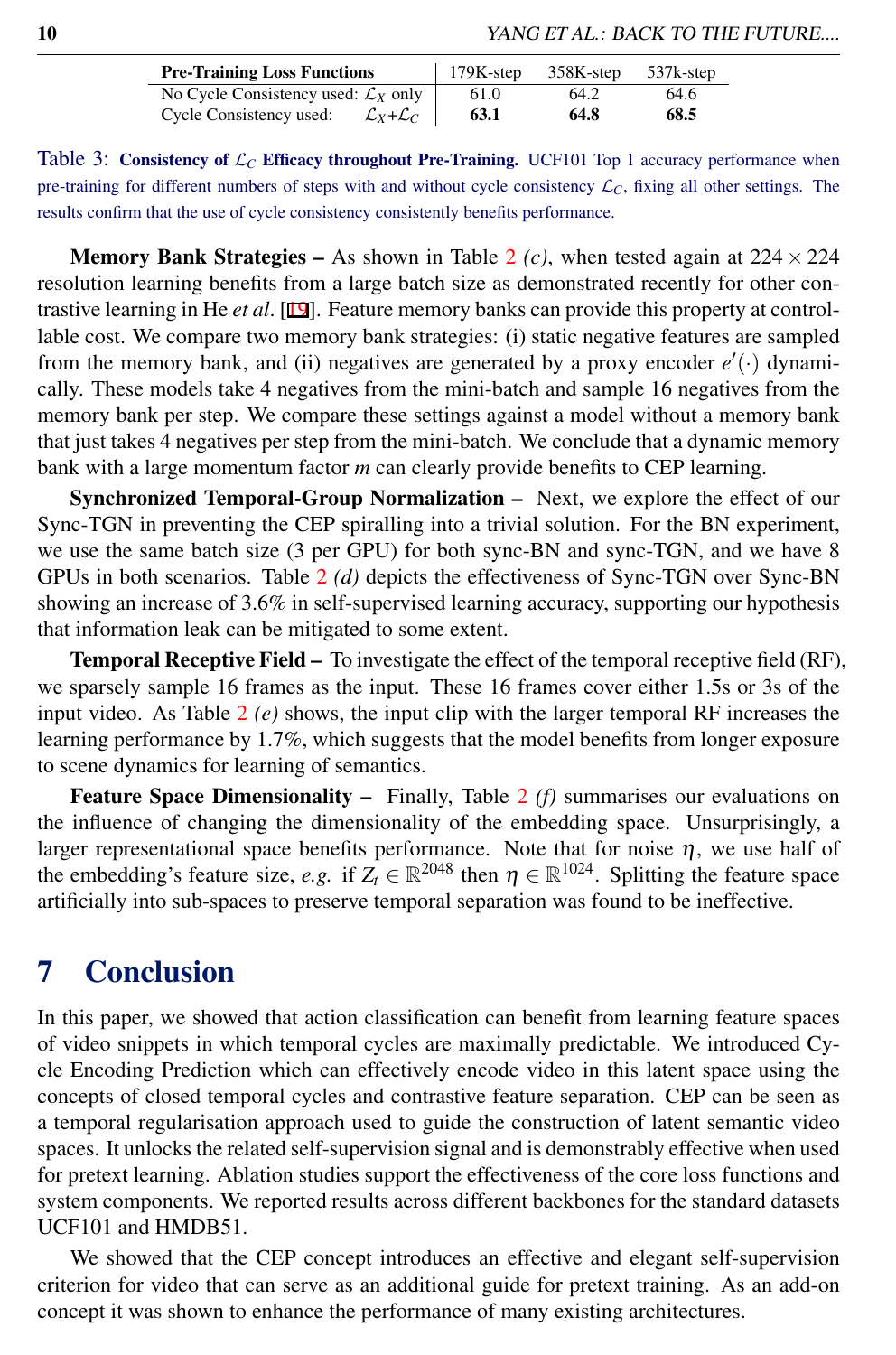| <b>Pre-Training Loss Functions</b>                         | $179K$ -step | 358K-step | 537k-step |
|------------------------------------------------------------|--------------|-----------|-----------|
| No Cycle Consistency used: $\mathcal{L}_X$ only            | 61.0         | 64.2      | 64.6      |
| Cycle Consistency used:<br>$\mathcal{L}_X + \mathcal{L}_C$ | 63.1         | 64.8      | 68.5      |

<span id="page-9-0"></span>Table 3: Consistency of  $\mathcal{L}_C$  Efficacy throughout Pre-Training. UCF101 Top 1 accuracy performance when pre-training for different numbers of steps with and without cycle consistency  $\mathcal{L}_C$ , fixing all other settings. The results confirm that the use of cycle consistency consistently benefits performance.

**Memory Bank Strategies –** As shown in Table [2](#page-8-1) (*c*), when tested again at  $224 \times 224$ resolution learning benefits from a large batch size as demonstrated recently for other contrastive learning in He *et al*. [19]. Feature memory banks can provide this property at controllable cost. We compare two memory bank strategies: (i) static negative features are sampled from the memory bank, and (ii) negatives are generated by a proxy encoder  $e'(\cdot)$  dynamically. These models take 4 negatives from the mini-batch and sample 16 negatives from the memory bank per step. We compare these settings against a model without a memory bank that just takes 4 negatives per step from the mini-batch. We conclude that a dynamic memory bank with a large momentum factor *m* can clearly provide benefits to CEP learning.

Synchronized Temporal-Group Normalization – Next, we explore the effect of our Sync-TGN in preventing the CEP spiralling into a trivial solution. For the BN experiment, we use the same batch size (3 per GPU) for both sync-BN and sync-TGN, and we have 8 GPUs in both scenarios. Table [2](#page-8-1) *(d)* depicts the effectiveness of Sync-TGN over Sync-BN showing an increase of 3.6% in self-supervised learning accuracy, supporting our hypothesis that information leak can be mitigated to some extent.

Temporal Receptive Field – To investigate the effect of the temporal receptive field (RF), we sparsely sample 16 frames as the input. These 16 frames cover either 1.5s or 3s of the input video. As Table [2](#page-8-1) *(e)* shows, the input clip with the larger temporal RF increases the learning performance by 1.7%, which suggests that the model benefits from longer exposure to scene dynamics for learning of semantics.

Feature Space Dimensionality – Finally, Table [2](#page-8-1) *(f)* summarises our evaluations on the influence of changing the dimensionality of the embedding space. Unsurprisingly, a larger representational space benefits performance. Note that for noise  $\eta$ , we use half of the embedding's feature size, *e.g.* if  $Z_t \in \mathbb{R}^{2048}$  then  $\eta \in \mathbb{R}^{1024}$ . Splitting the feature space artificially into sub-spaces to preserve temporal separation was found to be ineffective.

### 7 Conclusion

In this paper, we showed that action classification can benefit from learning feature spaces of video snippets in which temporal cycles are maximally predictable. We introduced Cycle Encoding Prediction which can effectively encode video in this latent space using the concepts of closed temporal cycles and contrastive feature separation. CEP can be seen as a temporal regularisation approach used to guide the construction of latent semantic video spaces. It unlocks the related self-supervision signal and is demonstrably effective when used for pretext learning. Ablation studies support the effectiveness of the core loss functions and system components. We reported results across different backbones for the standard datasets UCF101 and HMDB51.

We showed that the CEP concept introduces an effective and elegant self-supervision criterion for video that can serve as an additional guide for pretext training. As an add-on concept it was shown to enhance the performance of many existing architectures.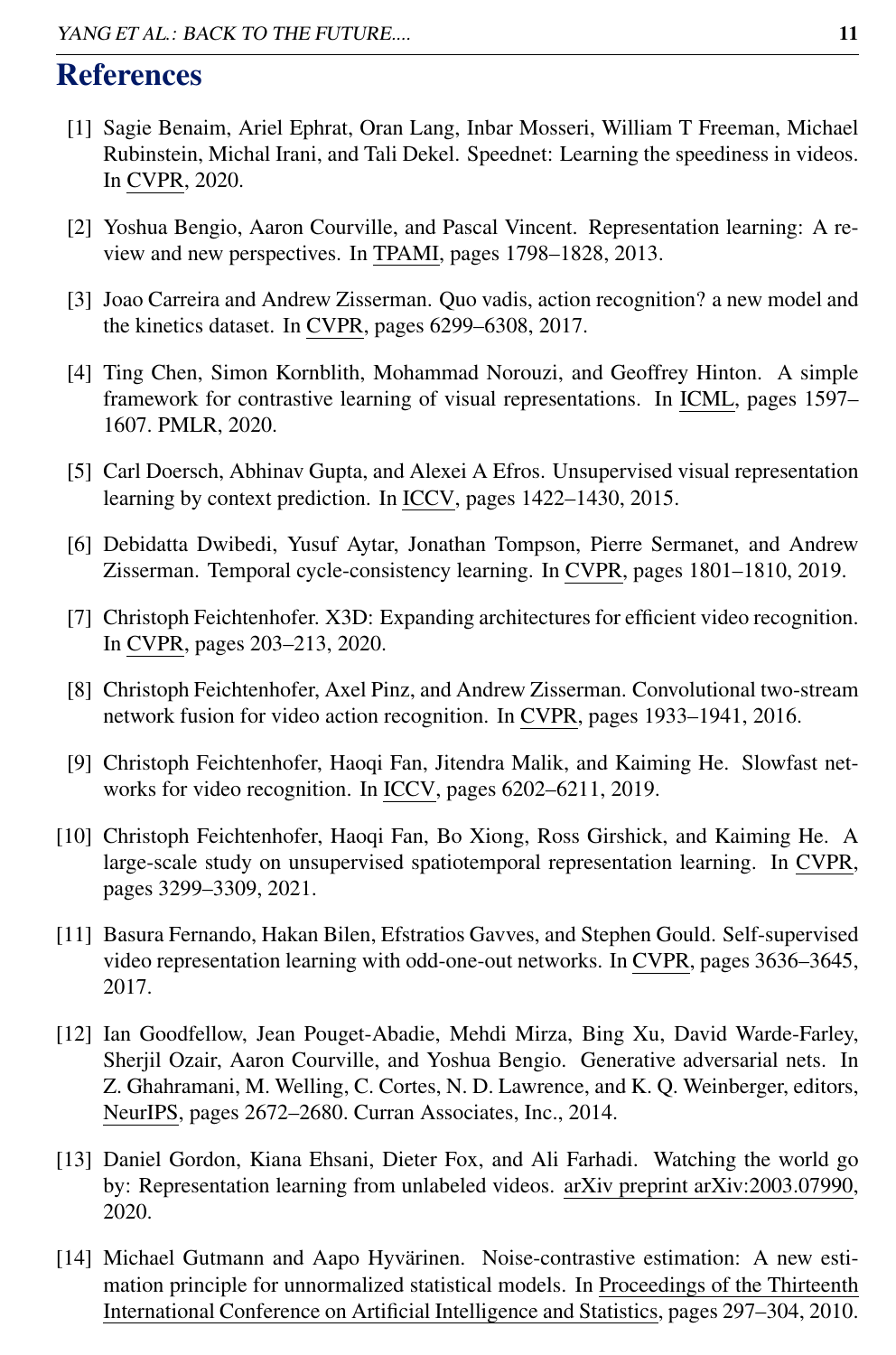# References

- [1] Sagie Benaim, Ariel Ephrat, Oran Lang, Inbar Mosseri, William T Freeman, Michael Rubinstein, Michal Irani, and Tali Dekel. Speednet: Learning the speediness in videos. In CVPR, 2020.
- [2] Yoshua Bengio, Aaron Courville, and Pascal Vincent. Representation learning: A review and new perspectives. In TPAMI, pages 1798–1828, 2013.
- [3] Joao Carreira and Andrew Zisserman. Quo vadis, action recognition? a new model and the kinetics dataset. In CVPR, pages 6299–6308, 2017.
- [4] Ting Chen, Simon Kornblith, Mohammad Norouzi, and Geoffrey Hinton. A simple framework for contrastive learning of visual representations. In ICML, pages 1597– 1607. PMLR, 2020.
- [5] Carl Doersch, Abhinav Gupta, and Alexei A Efros. Unsupervised visual representation learning by context prediction. In ICCV, pages 1422–1430, 2015.
- [6] Debidatta Dwibedi, Yusuf Aytar, Jonathan Tompson, Pierre Sermanet, and Andrew Zisserman. Temporal cycle-consistency learning. In CVPR, pages 1801–1810, 2019.
- [7] Christoph Feichtenhofer. X3D: Expanding architectures for efficient video recognition. In CVPR, pages 203–213, 2020.
- [8] Christoph Feichtenhofer, Axel Pinz, and Andrew Zisserman. Convolutional two-stream network fusion for video action recognition. In CVPR, pages 1933–1941, 2016.
- [9] Christoph Feichtenhofer, Haoqi Fan, Jitendra Malik, and Kaiming He. Slowfast networks for video recognition. In ICCV, pages 6202–6211, 2019.
- [10] Christoph Feichtenhofer, Haoqi Fan, Bo Xiong, Ross Girshick, and Kaiming He. A large-scale study on unsupervised spatiotemporal representation learning. In CVPR, pages 3299–3309, 2021.
- [11] Basura Fernando, Hakan Bilen, Efstratios Gavves, and Stephen Gould. Self-supervised video representation learning with odd-one-out networks. In CVPR, pages 3636–3645, 2017.
- [12] Ian Goodfellow, Jean Pouget-Abadie, Mehdi Mirza, Bing Xu, David Warde-Farley, Sherjil Ozair, Aaron Courville, and Yoshua Bengio. Generative adversarial nets. In Z. Ghahramani, M. Welling, C. Cortes, N. D. Lawrence, and K. Q. Weinberger, editors, NeurIPS, pages 2672–2680. Curran Associates, Inc., 2014.
- [13] Daniel Gordon, Kiana Ehsani, Dieter Fox, and Ali Farhadi. Watching the world go by: Representation learning from unlabeled videos. arXiv preprint arXiv:2003.07990, 2020.
- [14] Michael Gutmann and Aapo Hyvärinen. Noise-contrastive estimation: A new estimation principle for unnormalized statistical models. In Proceedings of the Thirteenth International Conference on Artificial Intelligence and Statistics, pages 297–304, 2010.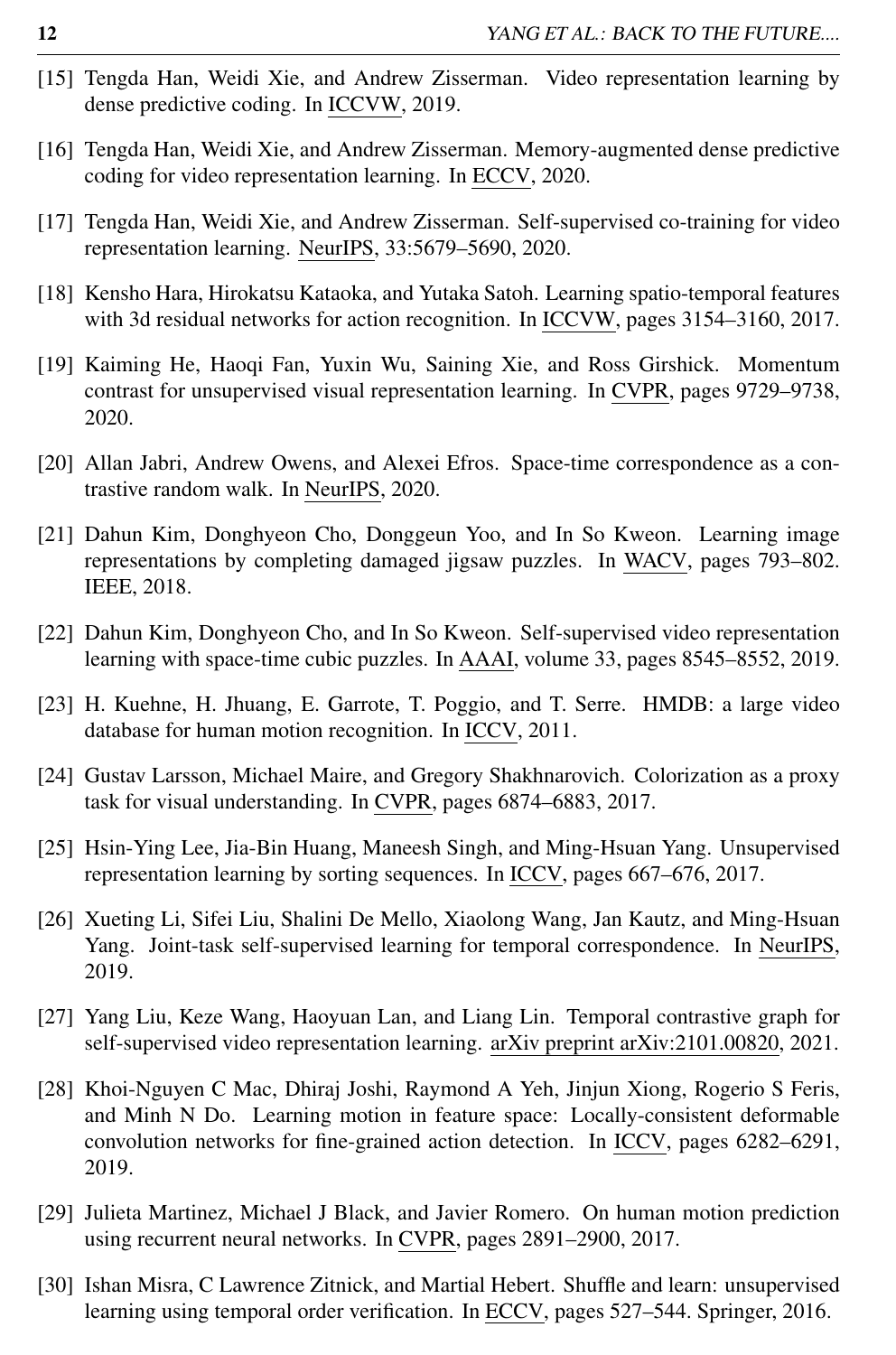- [15] Tengda Han, Weidi Xie, and Andrew Zisserman. Video representation learning by dense predictive coding. In ICCVW, 2019.
- [16] Tengda Han, Weidi Xie, and Andrew Zisserman. Memory-augmented dense predictive coding for video representation learning. In ECCV, 2020.
- [17] Tengda Han, Weidi Xie, and Andrew Zisserman. Self-supervised co-training for video representation learning. NeurIPS, 33:5679–5690, 2020.
- [18] Kensho Hara, Hirokatsu Kataoka, and Yutaka Satoh. Learning spatio-temporal features with 3d residual networks for action recognition. In ICCVW, pages 3154–3160, 2017.
- [19] Kaiming He, Haoqi Fan, Yuxin Wu, Saining Xie, and Ross Girshick. Momentum contrast for unsupervised visual representation learning. In CVPR, pages 9729–9738, 2020.
- [20] Allan Jabri, Andrew Owens, and Alexei Efros. Space-time correspondence as a contrastive random walk. In NeurIPS, 2020.
- [21] Dahun Kim, Donghyeon Cho, Donggeun Yoo, and In So Kweon. Learning image representations by completing damaged jigsaw puzzles. In WACV, pages 793–802. IEEE, 2018.
- [22] Dahun Kim, Donghyeon Cho, and In So Kweon. Self-supervised video representation learning with space-time cubic puzzles. In AAAI, volume 33, pages 8545–8552, 2019.
- [23] H. Kuehne, H. Jhuang, E. Garrote, T. Poggio, and T. Serre. HMDB: a large video database for human motion recognition. In ICCV, 2011.
- [24] Gustav Larsson, Michael Maire, and Gregory Shakhnarovich. Colorization as a proxy task for visual understanding. In CVPR, pages 6874–6883, 2017.
- [25] Hsin-Ying Lee, Jia-Bin Huang, Maneesh Singh, and Ming-Hsuan Yang. Unsupervised representation learning by sorting sequences. In ICCV, pages 667–676, 2017.
- [26] Xueting Li, Sifei Liu, Shalini De Mello, Xiaolong Wang, Jan Kautz, and Ming-Hsuan Yang. Joint-task self-supervised learning for temporal correspondence. In NeurIPS, 2019.
- [27] Yang Liu, Keze Wang, Haoyuan Lan, and Liang Lin. Temporal contrastive graph for self-supervised video representation learning. arXiv preprint arXiv:2101.00820, 2021.
- [28] Khoi-Nguyen C Mac, Dhiraj Joshi, Raymond A Yeh, Jinjun Xiong, Rogerio S Feris, and Minh N Do. Learning motion in feature space: Locally-consistent deformable convolution networks for fine-grained action detection. In ICCV, pages 6282–6291, 2019.
- [29] Julieta Martinez, Michael J Black, and Javier Romero. On human motion prediction using recurrent neural networks. In CVPR, pages 2891–2900, 2017.
- [30] Ishan Misra, C Lawrence Zitnick, and Martial Hebert. Shuffle and learn: unsupervised learning using temporal order verification. In ECCV, pages 527–544. Springer, 2016.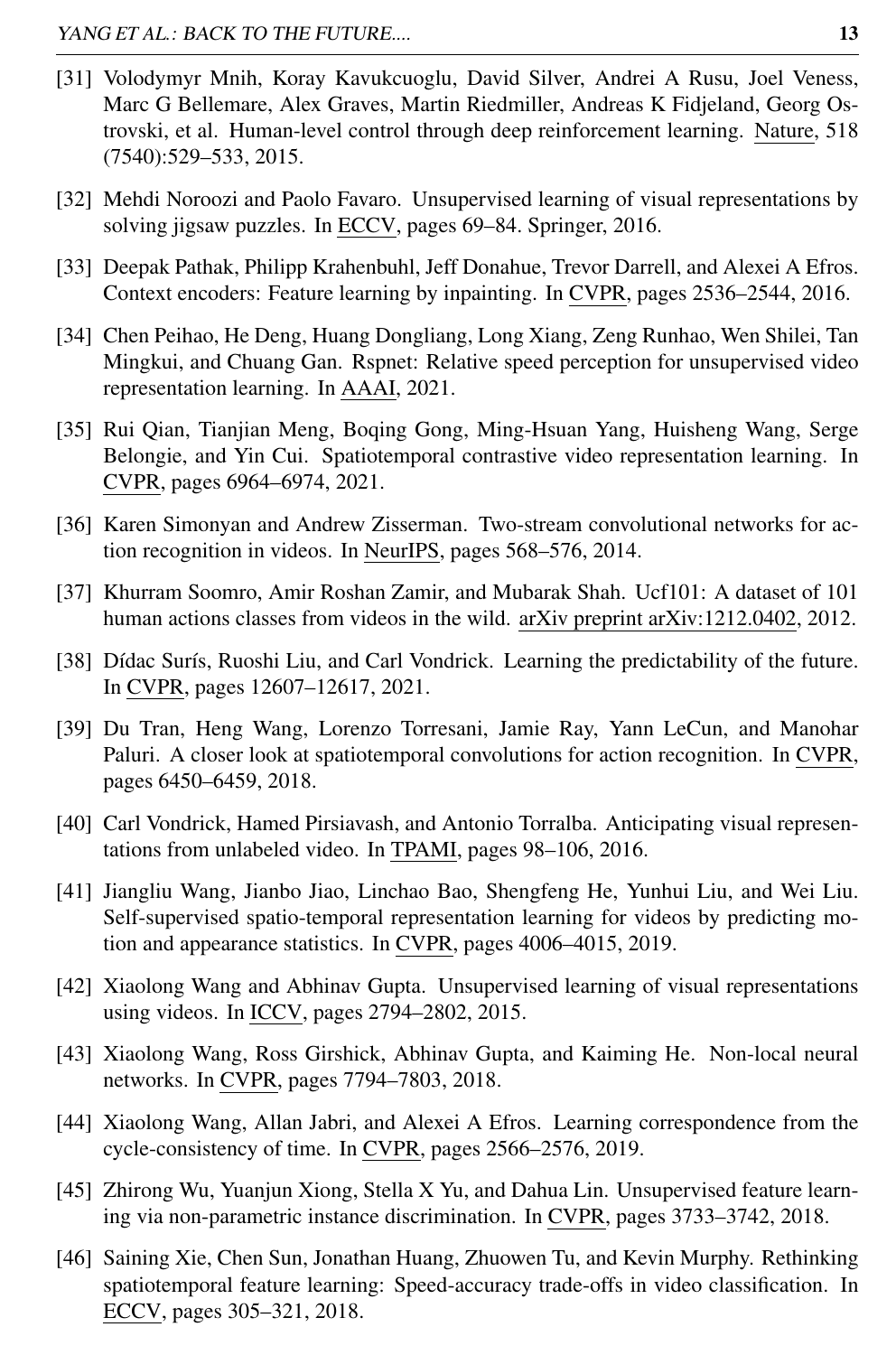- [31] Volodymyr Mnih, Koray Kavukcuoglu, David Silver, Andrei A Rusu, Joel Veness, Marc G Bellemare, Alex Graves, Martin Riedmiller, Andreas K Fidjeland, Georg Ostrovski, et al. Human-level control through deep reinforcement learning. Nature, 518 (7540):529–533, 2015.
- [32] Mehdi Noroozi and Paolo Favaro. Unsupervised learning of visual representations by solving jigsaw puzzles. In ECCV, pages 69–84. Springer, 2016.
- [33] Deepak Pathak, Philipp Krahenbuhl, Jeff Donahue, Trevor Darrell, and Alexei A Efros. Context encoders: Feature learning by inpainting. In CVPR, pages 2536–2544, 2016.
- [34] Chen Peihao, He Deng, Huang Dongliang, Long Xiang, Zeng Runhao, Wen Shilei, Tan Mingkui, and Chuang Gan. Rspnet: Relative speed perception for unsupervised video representation learning. In AAAI, 2021.
- [35] Rui Qian, Tianjian Meng, Boqing Gong, Ming-Hsuan Yang, Huisheng Wang, Serge Belongie, and Yin Cui. Spatiotemporal contrastive video representation learning. In CVPR, pages 6964–6974, 2021.
- [36] Karen Simonyan and Andrew Zisserman. Two-stream convolutional networks for action recognition in videos. In NeurIPS, pages 568–576, 2014.
- [37] Khurram Soomro, Amir Roshan Zamir, and Mubarak Shah. Ucf101: A dataset of 101 human actions classes from videos in the wild. arXiv preprint arXiv:1212.0402, 2012.
- [38] Dídac Surís, Ruoshi Liu, and Carl Vondrick. Learning the predictability of the future. In CVPR, pages 12607–12617, 2021.
- [39] Du Tran, Heng Wang, Lorenzo Torresani, Jamie Ray, Yann LeCun, and Manohar Paluri. A closer look at spatiotemporal convolutions for action recognition. In CVPR, pages 6450–6459, 2018.
- [40] Carl Vondrick, Hamed Pirsiavash, and Antonio Torralba. Anticipating visual representations from unlabeled video. In TPAMI, pages 98–106, 2016.
- [41] Jiangliu Wang, Jianbo Jiao, Linchao Bao, Shengfeng He, Yunhui Liu, and Wei Liu. Self-supervised spatio-temporal representation learning for videos by predicting motion and appearance statistics. In CVPR, pages 4006–4015, 2019.
- [42] Xiaolong Wang and Abhinav Gupta. Unsupervised learning of visual representations using videos. In ICCV, pages 2794–2802, 2015.
- [43] Xiaolong Wang, Ross Girshick, Abhinav Gupta, and Kaiming He. Non-local neural networks. In CVPR, pages 7794–7803, 2018.
- [44] Xiaolong Wang, Allan Jabri, and Alexei A Efros. Learning correspondence from the cycle-consistency of time. In CVPR, pages 2566–2576, 2019.
- [45] Zhirong Wu, Yuanjun Xiong, Stella X Yu, and Dahua Lin. Unsupervised feature learning via non-parametric instance discrimination. In CVPR, pages 3733–3742, 2018.
- [46] Saining Xie, Chen Sun, Jonathan Huang, Zhuowen Tu, and Kevin Murphy. Rethinking spatiotemporal feature learning: Speed-accuracy trade-offs in video classification. In ECCV, pages 305–321, 2018.